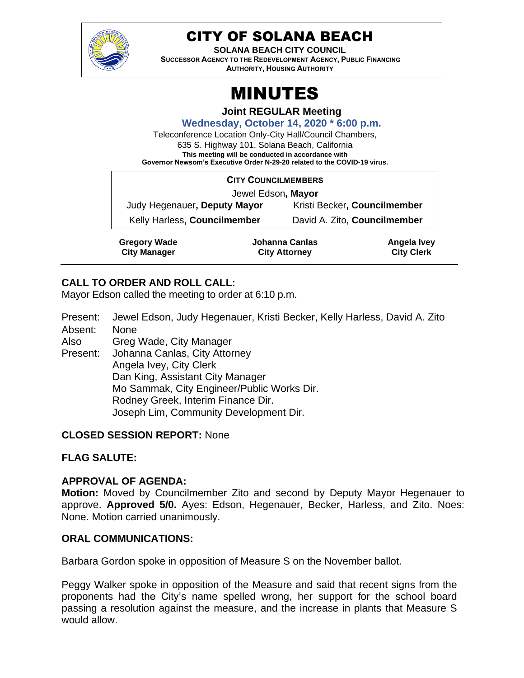

# CITY OF SOLANA BEACH

**SOLANA BEACH CITY COUNCIL**

**SUCCESSOR AGENCY TO THE REDEVELOPMENT AGENCY, PUBLIC FINANCING AUTHORITY, HOUSING AUTHORITY** 

# MINUTES

**Joint REGULAR Meeting**

**Wednesday, October 14, 2020 \* 6:00 p.m.**

Teleconference Location Only-City Hall/Council Chambers,

635 S. Highway 101, Solana Beach, California **This meeting will be conducted in accordance with Governor Newsom's Executive Order N-29-20 related to the COVID-19 virus.**

| <b>CITY COUNCILMEMBERS</b>   |                |                              |
|------------------------------|----------------|------------------------------|
| Jewel Edson, Mayor           |                |                              |
| Judy Hegenauer, Deputy Mayor |                | Kristi Becker, Councilmember |
| Kelly Harless, Councilmember |                | David A. Zito, Councilmember |
| <b>Gregory Wade</b>          | Johanna Canlas | Angela Ivey                  |

**City Manager**

**Johanna Canlas City Attorney**

**City Clerk**

# **CALL TO ORDER AND ROLL CALL:**

Mayor Edson called the meeting to order at 6:10 p.m.

Present: Jewel Edson, Judy Hegenauer, Kristi Becker, Kelly Harless, David A. Zito Absent: None

Also Greg Wade, City Manager

Present: Johanna Canlas, City Attorney Angela Ivey, City Clerk Dan King, Assistant City Manager Mo Sammak, City Engineer/Public Works Dir. Rodney Greek, Interim Finance Dir. Joseph Lim, Community Development Dir.

#### **CLOSED SESSION REPORT:** None

# **FLAG SALUTE:**

#### **APPROVAL OF AGENDA:**

**Motion:** Moved by Councilmember Zito and second by Deputy Mayor Hegenauer to approve. **Approved 5/0.** Ayes: Edson, Hegenauer, Becker, Harless, and Zito. Noes: None. Motion carried unanimously.

#### **ORAL COMMUNICATIONS:**

Barbara Gordon spoke in opposition of Measure S on the November ballot.

Peggy Walker spoke in opposition of the Measure and said that recent signs from the proponents had the City's name spelled wrong, her support for the school board passing a resolution against the measure, and the increase in plants that Measure S would allow.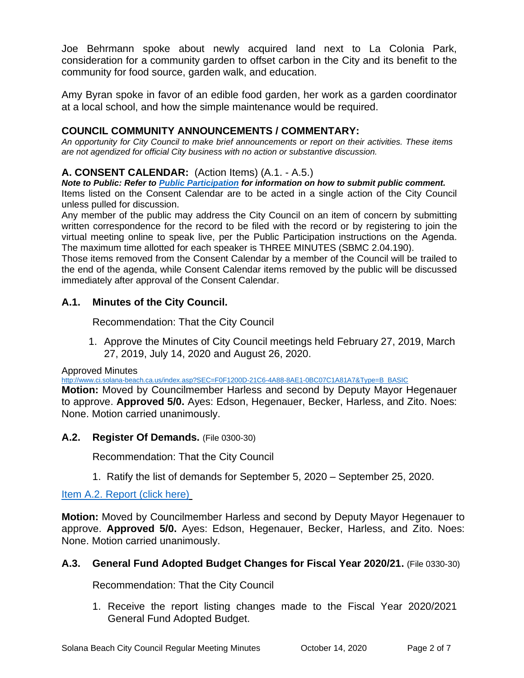Joe Behrmann spoke about newly acquired land next to La Colonia Park, consideration for a community garden to offset carbon in the City and its benefit to the community for food source, garden walk, and education.

Amy Byran spoke in favor of an edible food garden, her work as a garden coordinator at a local school, and how the simple maintenance would be required.

# **COUNCIL COMMUNITY ANNOUNCEMENTS / COMMENTARY:**

*An opportunity for City Council to make brief announcements or report on their activities. These items are not agendized for official City business with no action or substantive discussion.* 

# **A. CONSENT CALENDAR:** (Action Items) (A.1. - A.5.)

*Note to Public: Refer to Public Participation for information on how to submit public comment.*  Items listed on the Consent Calendar are to be acted in a single action of the City Council unless pulled for discussion.

Any member of the public may address the City Council on an item of concern by submitting written correspondence for the record to be filed with the record or by registering to join the virtual meeting online to speak live, per the Public Participation instructions on the Agenda. The maximum time allotted for each speaker is THREE MINUTES (SBMC 2.04.190).

Those items removed from the Consent Calendar by a member of the Council will be trailed to the end of the agenda, while Consent Calendar items removed by the public will be discussed immediately after approval of the Consent Calendar.

# **A.1. Minutes of the City Council.**

Recommendation: That the City Council

1. Approve the Minutes of City Council meetings held February 27, 2019, March 27, 2019, July 14, 2020 and August 26, 2020.

Approved Minutes

[http://www.ci.solana-beach.ca.us/index.asp?SEC=F0F1200D-21C6-4A88-8AE1-0BC07C1A81A7&Type=B\\_BASIC](http://www.ci.solana-beach.ca.us/index.asp?SEC=F0F1200D-21C6-4A88-8AE1-0BC07C1A81A7&Type=B_BASIC) **Motion:** Moved by Councilmember Harless and second by Deputy Mayor Hegenauer to approve. **Approved 5/0.** Ayes: Edson, Hegenauer, Becker, Harless, and Zito. Noes: None. Motion carried unanimously.

#### **A.2. Register Of Demands.** (File 0300-30)

Recommendation: That the City Council

1. Ratify the list of demands for September 5, 2020 – September 25, 2020.

#### [Item A.2. Report \(click here\)](https://solanabeach.govoffice3.com/vertical/Sites/%7B840804C2-F869-4904-9AE3-720581350CE7%7D/uploads/Item_A.2._Report_(click_here)_10-14-20_O.pdf)

**Motion:** Moved by Councilmember Harless and second by Deputy Mayor Hegenauer to approve. **Approved 5/0.** Ayes: Edson, Hegenauer, Becker, Harless, and Zito. Noes: None. Motion carried unanimously.

#### **A.3. General Fund Adopted Budget Changes for Fiscal Year 2020/21.** (File 0330-30)

Recommendation: That the City Council

1. Receive the report listing changes made to the Fiscal Year 2020/2021 General Fund Adopted Budget.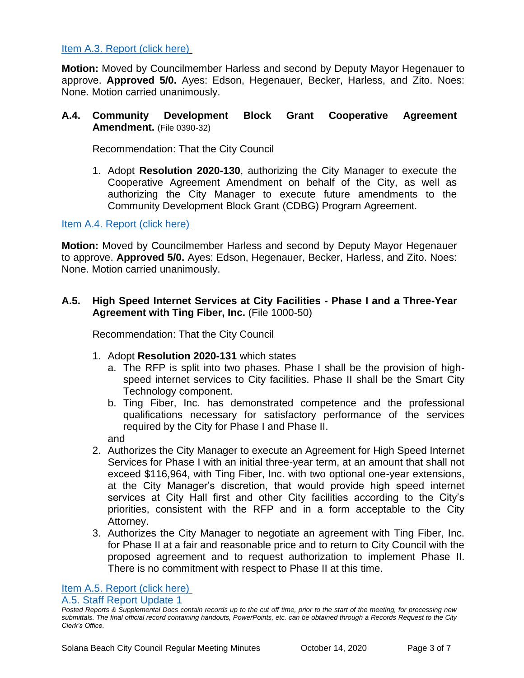#### [Item A.3. Report \(click here\)](https://solanabeach.govoffice3.com/vertical/Sites/%7B840804C2-F869-4904-9AE3-720581350CE7%7D/uploads/Item_A.3._Report_(click_here)_10-14-20_O.pdf)

**Motion:** Moved by Councilmember Harless and second by Deputy Mayor Hegenauer to approve. **Approved 5/0.** Ayes: Edson, Hegenauer, Becker, Harless, and Zito. Noes: None. Motion carried unanimously.

#### **A.4. Community Development Block Grant Cooperative Agreement Amendment.** (File 0390-32)

Recommendation: That the City Council

1. Adopt **Resolution 2020-130**, authorizing the City Manager to execute the Cooperative Agreement Amendment on behalf of the City, as well as authorizing the City Manager to execute future amendments to the Community Development Block Grant (CDBG) Program Agreement.

[Item A.4. Report](https://solanabeach.govoffice3.com/vertical/Sites/%7B840804C2-F869-4904-9AE3-720581350CE7%7D/uploads/Item_A.4._Report_(click_here)_10-14-20_O.pdf) (click here)

**Motion:** Moved by Councilmember Harless and second by Deputy Mayor Hegenauer to approve. **Approved 5/0.** Ayes: Edson, Hegenauer, Becker, Harless, and Zito. Noes: None. Motion carried unanimously.

#### **A.5. High Speed Internet Services at City Facilities - Phase I and a Three-Year Agreement with Ting Fiber, Inc.** (File 1000-50)

Recommendation: That the City Council

- 1. Adopt **Resolution 2020-131** which states
	- a. The RFP is split into two phases. Phase I shall be the provision of highspeed internet services to City facilities. Phase II shall be the Smart City Technology component.
	- b. Ting Fiber, Inc. has demonstrated competence and the professional qualifications necessary for satisfactory performance of the services required by the City for Phase I and Phase II.
	- and
- 2. Authorizes the City Manager to execute an Agreement for High Speed Internet Services for Phase I with an initial three-year term, at an amount that shall not exceed \$116,964, with Ting Fiber, Inc. with two optional one-year extensions, at the City Manager's discretion, that would provide high speed internet services at City Hall first and other City facilities according to the City's priorities, consistent with the RFP and in a form acceptable to the City Attorney.
- 3. Authorizes the City Manager to negotiate an agreement with Ting Fiber, Inc. for Phase II at a fair and reasonable price and to return to City Council with the proposed agreement and to request authorization to implement Phase II. There is no commitment with respect to Phase II at this time.

[Item A.5. Report \(click here\)](https://solanabeach.govoffice3.com/vertical/Sites/%7B840804C2-F869-4904-9AE3-720581350CE7%7D/uploads/Item_A.5._Report_(click_here)_10-14-20_-_O.pdf)

[A.5. Staff Report Update 1](https://solanabeach.govoffice3.com/vertical/Sites/%7B840804C2-F869-4904-9AE3-720581350CE7%7D/uploads/A.5._Staff_Report_1.pdf)

*Posted Reports & Supplemental Docs contain records up to the cut off time, prior to the start of the meeting, for processing new submittals. The final official record containing handouts, PowerPoints, etc. can be obtained through a Records Request to the City Clerk's Office.*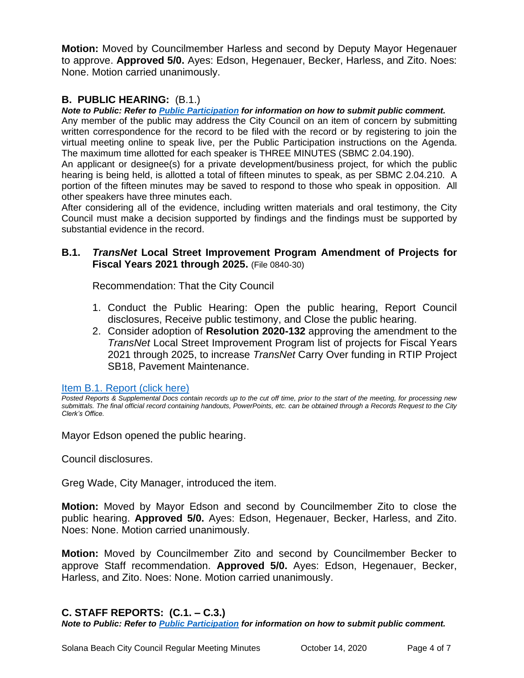**Motion:** Moved by Councilmember Harless and second by Deputy Mayor Hegenauer to approve. **Approved 5/0.** Ayes: Edson, Hegenauer, Becker, Harless, and Zito. Noes: None. Motion carried unanimously.

# **B. PUBLIC HEARING:** (B.1.)

*Note to Public: Refer to Public Participation for information on how to submit public comment.*  Any member of the public may address the City Council on an item of concern by submitting written correspondence for the record to be filed with the record or by registering to join the virtual meeting online to speak live, per the Public Participation instructions on the Agenda. The maximum time allotted for each speaker is THREE MINUTES (SBMC 2.04.190).

An applicant or designee(s) for a private development/business project, for which the public hearing is being held, is allotted a total of fifteen minutes to speak, as per SBMC 2.04.210. A portion of the fifteen minutes may be saved to respond to those who speak in opposition. All other speakers have three minutes each.

After considering all of the evidence, including written materials and oral testimony, the City Council must make a decision supported by findings and the findings must be supported by substantial evidence in the record.

#### **B.1.** *TransNet* **Local Street Improvement Program Amendment of Projects for Fiscal Years 2021 through 2025.** (File 0840-30)

Recommendation: That the City Council

- 1. Conduct the Public Hearing: Open the public hearing, Report Council disclosures, Receive public testimony, and Close the public hearing.
- 2. Consider adoption of **Resolution 2020-132** approving the amendment to the *TransNet* Local Street Improvement Program list of projects for Fiscal Years 2021 through 2025, to increase *TransNet* Carry Over funding in RTIP Project SB18, Pavement Maintenance.

[Item B.1. Report \(click here\)](https://solanabeach.govoffice3.com/vertical/Sites/%7B840804C2-F869-4904-9AE3-720581350CE7%7D/uploads/Item_B.1._Report_(click_here)_10-14-20_O.pdf)

*Posted Reports & Supplemental Docs contain records up to the cut off time, prior to the start of the meeting, for processing new submittals. The final official record containing handouts, PowerPoints, etc. can be obtained through a Records Request to the City Clerk's Office.*

Mayor Edson opened the public hearing.

Council disclosures.

Greg Wade, City Manager, introduced the item.

**Motion:** Moved by Mayor Edson and second by Councilmember Zito to close the public hearing. **Approved 5/0.** Ayes: Edson, Hegenauer, Becker, Harless, and Zito. Noes: None. Motion carried unanimously.

**Motion:** Moved by Councilmember Zito and second by Councilmember Becker to approve Staff recommendation. **Approved 5/0.** Ayes: Edson, Hegenauer, Becker, Harless, and Zito. Noes: None. Motion carried unanimously.

# **C. STAFF REPORTS: (C.1. – C.3.)**

*Note to Public: Refer to Public Participation for information on how to submit public comment.*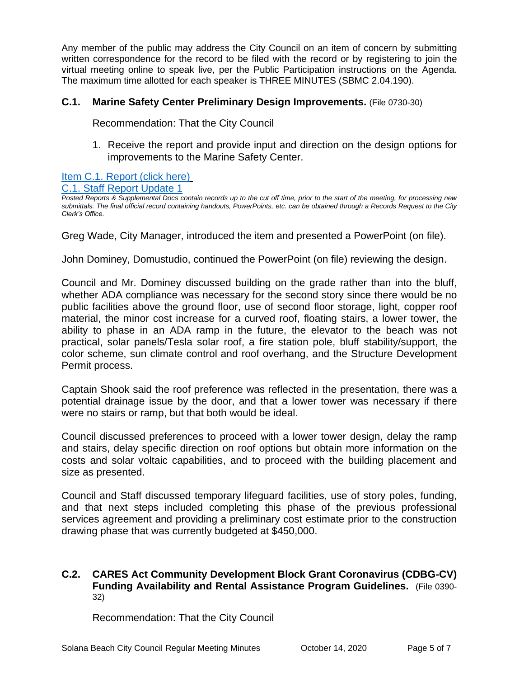Any member of the public may address the City Council on an item of concern by submitting written correspondence for the record to be filed with the record or by registering to join the virtual meeting online to speak live, per the Public Participation instructions on the Agenda. The maximum time allotted for each speaker is THREE MINUTES (SBMC 2.04.190).

# **C.1. Marine Safety Center Preliminary Design Improvements.** (File 0730-30)

Recommendation: That the City Council

1. Receive the report and provide input and direction on the design options for improvements to the Marine Safety Center.

#### [Item C.1. Report \(click here\)](https://solanabeach.govoffice3.com/vertical/Sites/%7B840804C2-F869-4904-9AE3-720581350CE7%7D/uploads/Item_C.1._Report_(click_here)_10-14-20_O.pdf)

#### [C.1. Staff Report Update 1](https://solanabeach.govoffice3.com/vertical/Sites/%7B840804C2-F869-4904-9AE3-720581350CE7%7D/uploads/C.1._Staff_Report_Update_1.pdf)

*Posted Reports & Supplemental Docs contain records up to the cut off time, prior to the start of the meeting, for processing new submittals. The final official record containing handouts, PowerPoints, etc. can be obtained through a Records Request to the City Clerk's Office.*

Greg Wade, City Manager, introduced the item and presented a PowerPoint (on file).

John Dominey, Domustudio, continued the PowerPoint (on file) reviewing the design.

Council and Mr. Dominey discussed building on the grade rather than into the bluff, whether ADA compliance was necessary for the second story since there would be no public facilities above the ground floor, use of second floor storage, light, copper roof material, the minor cost increase for a curved roof, floating stairs, a lower tower, the ability to phase in an ADA ramp in the future, the elevator to the beach was not practical, solar panels/Tesla solar roof, a fire station pole, bluff stability/support, the color scheme, sun climate control and roof overhang, and the Structure Development Permit process.

Captain Shook said the roof preference was reflected in the presentation, there was a potential drainage issue by the door, and that a lower tower was necessary if there were no stairs or ramp, but that both would be ideal.

Council discussed preferences to proceed with a lower tower design, delay the ramp and stairs, delay specific direction on roof options but obtain more information on the costs and solar voltaic capabilities, and to proceed with the building placement and size as presented.

Council and Staff discussed temporary lifeguard facilities, use of story poles, funding, and that next steps included completing this phase of the previous professional services agreement and providing a preliminary cost estimate prior to the construction drawing phase that was currently budgeted at \$450,000.

#### **C.2. CARES Act Community Development Block Grant Coronavirus (CDBG-CV) Funding Availability and Rental Assistance Program Guidelines.** (File 0390- 32)

Recommendation: That the City Council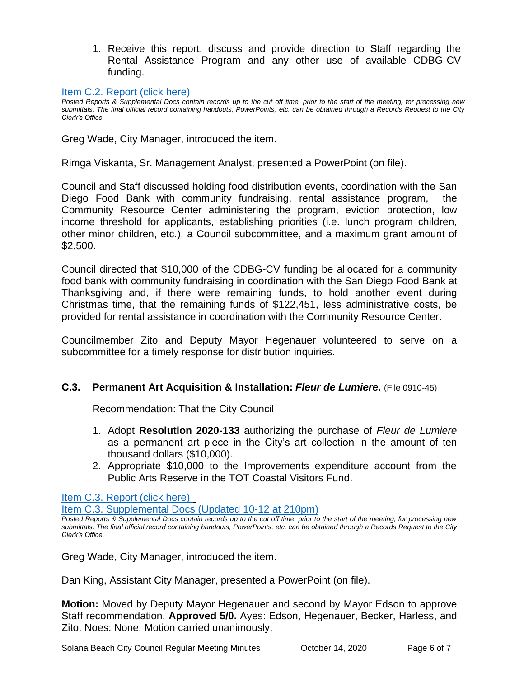1. Receive this report, discuss and provide direction to Staff regarding the Rental Assistance Program and any other use of available CDBG-CV funding.

#### [Item C.2. Report](https://solanabeach.govoffice3.com/vertical/Sites/%7B840804C2-F869-4904-9AE3-720581350CE7%7D/uploads/Item_C.2._Report_(click_here)_10-14-20_-_O.pdf) (click here)

*Posted Reports & Supplemental Docs contain records up to the cut off time, prior to the start of the meeting, for processing new submittals. The final official record containing handouts, PowerPoints, etc. can be obtained through a Records Request to the City Clerk's Office.*

Greg Wade, City Manager, introduced the item.

Rimga Viskanta, Sr. Management Analyst, presented a PowerPoint (on file).

Council and Staff discussed holding food distribution events, coordination with the San Diego Food Bank with community fundraising, rental assistance program, the Community Resource Center administering the program, eviction protection, low income threshold for applicants, establishing priorities (i.e. lunch program children, other minor children, etc.), a Council subcommittee, and a maximum grant amount of \$2,500.

Council directed that \$10,000 of the CDBG-CV funding be allocated for a community food bank with community fundraising in coordination with the San Diego Food Bank at Thanksgiving and, if there were remaining funds, to hold another event during Christmas time, that the remaining funds of \$122,451, less administrative costs, be provided for rental assistance in coordination with the Community Resource Center.

Councilmember Zito and Deputy Mayor Hegenauer volunteered to serve on a subcommittee for a timely response for distribution inquiries.

#### **C.3. Permanent Art Acquisition & Installation:** *Fleur de Lumiere.* (File 0910-45)

Recommendation: That the City Council

- 1. Adopt **Resolution 2020-133** authorizing the purchase of *Fleur de Lumiere* as a permanent art piece in the City's art collection in the amount of ten thousand dollars (\$10,000).
- 2. Appropriate \$10,000 to the Improvements expenditure account from the Public Arts Reserve in the TOT Coastal Visitors Fund.

[Item C.3. Report \(click here\)](https://solanabeach.govoffice3.com/vertical/Sites/%7B840804C2-F869-4904-9AE3-720581350CE7%7D/uploads/Item_C.3._Report_(click_here)_10-14-20_-_O.pdf) 

[Item C.3. Supplemental Docs \(Updated 10-12 at 210pm\)](https://solanabeach.govoffice3.com/vertical/Sites/%7B840804C2-F869-4904-9AE3-720581350CE7%7D/uploads/Item_C.3._Supplemental_Docs_(Updated_10-12_at_210pm)_-_O.pdf)

*Posted Reports & Supplemental Docs contain records up to the cut off time, prior to the start of the meeting, for processing new submittals. The final official record containing handouts, PowerPoints, etc. can be obtained through a Records Request to the City Clerk's Office.*

Greg Wade, City Manager, introduced the item.

Dan King, Assistant City Manager, presented a PowerPoint (on file).

**Motion:** Moved by Deputy Mayor Hegenauer and second by Mayor Edson to approve Staff recommendation. **Approved 5/0.** Ayes: Edson, Hegenauer, Becker, Harless, and Zito. Noes: None. Motion carried unanimously.